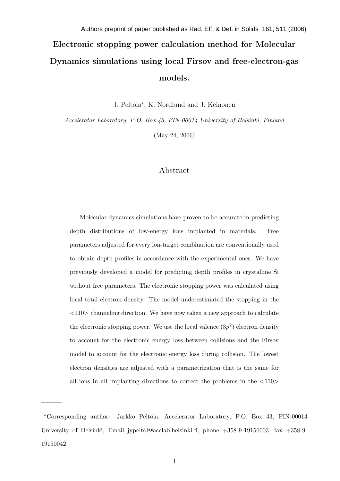# Electronic stopping power calculation method for Molecular Dynamics simulations using local Firsov and free-electron-gas models. Authors preprint of paper published as Rad. Eff. & Def. in Solids 161, 511 (2006)

J. Peltola<sup>∗</sup> , K. Nordlund and J. Keinonen

Accelerator Laboratory, P.O. Box 43, FIN-00014 University of Helsinki, Finland

(May 24, 2006)

# Abstract

Molecular dynamics simulations have proven to be accurate in predicting depth distributions of low-energy ions implanted in materials. Free parameters adjusted for every ion-target combination are conventionally used to obtain depth profiles in accordance with the experimental ones. We have previously developed a model for predicting depth profiles in crystalline Si without free parameters. The electronic stopping power was calculated using local total electron density. The model underestimated the stopping in the  $\langle 110 \rangle$  channeling direction. We have now taken a new approach to calculate the electronic stopping power. We use the local valence  $(3p^2)$  electron density to account for the electronic energy loss between collisions and the Firsov model to account for the electronic energy loss during collision. The lowest electron densities are adjusted with a parametrization that is the same for all ions in all implanting directions to correct the problems in the  $\langle 110 \rangle$ 

<sup>∗</sup>Corresponding author: Jarkko Peltola, Accelerator Laboratory, P.O. Box 43, FIN-00014 University of Helsinki, Email jypeltol@acclab.helsinki.fi, phone +358-9-19150003, fax +358-9-19150042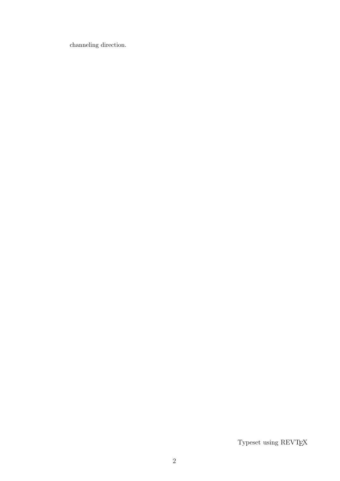channeling direction.

Typeset using REVTEX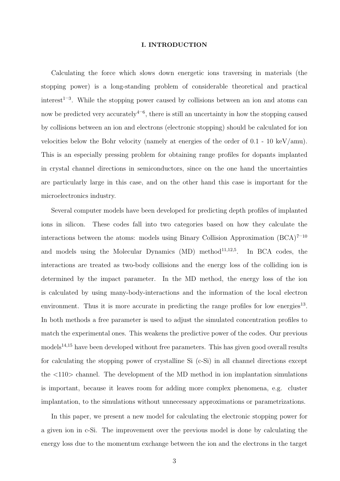#### I. INTRODUCTION

Calculating the force which slows down energetic ions traversing in materials (the stopping power) is a long-standing problem of considerable theoretical and practical  $\text{interest}^{1-3}$ . While the stopping power caused by collisions between an ion and atoms can now be predicted very accurately<sup>4-6</sup>, there is still an uncertainty in how the stopping caused by collisions between an ion and electrons (electronic stopping) should be calculated for ion velocities below the Bohr velocity (namely at energies of the order of 0.1 - 10 keV/amu). This is an especially pressing problem for obtaining range profiles for dopants implanted in crystal channel directions in semiconductors, since on the one hand the uncertainties are particularly large in this case, and on the other hand this case is important for the microelectronics industry.

Several computer models have been developed for predicting depth profiles of implanted ions in silicon. These codes fall into two categories based on how they calculate the interactions between the atoms: models using Binary Collision Approximation  $(BCA)^{7-10}$ and models using the Molecular Dynamics (MD) method<sup>11,12,5</sup>. In BCA codes, the interactions are treated as two-body collisions and the energy loss of the colliding ion is determined by the impact parameter. In the MD method, the energy loss of the ion is calculated by using many-body-interactions and the information of the local electron environment. Thus it is more accurate in predicting the range profiles for low energies<sup>13</sup>. In both methods a free parameter is used to adjust the simulated concentration profiles to match the experimental ones. This weakens the predictive power of the codes. Our previous  $models<sup>14,15</sup>$  have been developed without free parameters. This has given good overall results for calculating the stopping power of crystalline Si (c-Si) in all channel directions except the  $\langle 110 \rangle$  channel. The development of the MD method in ion implantation simulations is important, because it leaves room for adding more complex phenomena, e.g. cluster implantation, to the simulations without unnecessary approximations or parametrizations.

In this paper, we present a new model for calculating the electronic stopping power for a given ion in c-Si. The improvement over the previous model is done by calculating the energy loss due to the momentum exchange between the ion and the electrons in the target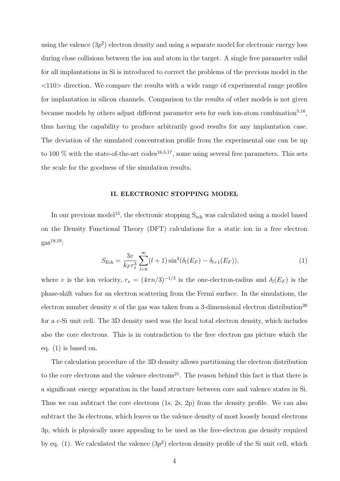using the valence  $(3p^2)$  electron density and using a separate model for electronic energy loss during close collisions between the ion and atom in the target. A single free parameter valid for all implantations in Si is introduced to correct the problems of the previous model in the  $\langle 110 \rangle$  direction. We compare the results with a wide range of experimental range profiles for implantation in silicon channels. Comparison to the results of other models is not given because models by others adjust different parameter sets for each ion-atom combination<sup>5,16</sup>, thus having the capability to produce arbitrarily good results for any implantation case. The deviation of the simulated concentration profile from the experimental one can be up to 100  $\%$  with the state-of-the-art codes<sup>16,5,17</sup>, some using several free parameters. This sets the scale for the goodness of the simulation results.

#### II. ELECTRONIC STOPPING MODEL

In our previous model<sup>15</sup>, the electronic stopping S<sub>ech</sub> was calculated using a model based on the Density Functional Theory (DFT) calculations for a static ion in a free electron  $g_{\rm 2S}^{18,19}$ :

$$
S_{\text{Ech}} = \frac{3v}{k_F r_s^3} \sum_{l=0}^{\infty} (l+1) \sin^2(\delta_l(E_F) - \delta_{l+1}(E_F)), \tag{1}
$$

where v is the ion velocity,  $r_s = (4\pi n/3)^{-1/3}$  is the one-electron-radius and  $\delta_l(E_F)$  is the phase-shift values for an electron scattering from the Fermi surface. In the simulations, the electron number density n of the gas was taken from a 3-dimensional electron distribution<sup>20</sup> for a c-Si unit cell. The 3D density used was the local total electron density, which includes also the core electrons. This is in contradiction to the free electron gas picture which the eq. (1) is based on.

The calculation procedure of the 3D density allows partitioning the electron distribution to the core electrons and the valence electrons<sup>21</sup>. The reason behind this fact is that there is a significant energy separation in the band structure between core and valence states in Si. Thus we can subtract the core electrons (1s, 2s, 2p) from the density profile. We can also subtract the 3s electrons, which leaves us the valence density of most loosely bound electrons 3p, which is physically more appealing to be used as the free-electron gas density required by eq. (1). We calculated the valence  $(3p^2)$  electron density profile of the Si unit cell, which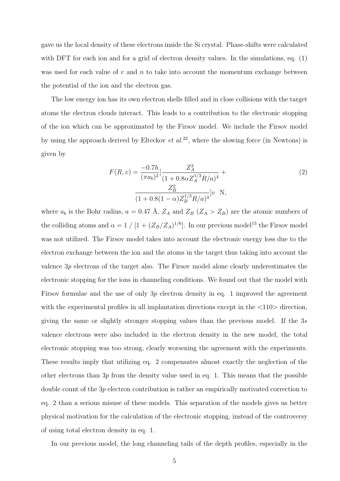gave us the local density of these electrons inside the Si crystal. Phase-shifts were calculated with DFT for each ion and for a grid of electron density values. In the simulations, eq.  $(1)$ was used for each value of  $v$  and  $n$  to take into account the momentum exchange between the potential of the ion and the electron gas.

The low energy ion has its own electron shells filled and in close collisions with the target atoms the electron clouds interact. This leads to a contribution to the electronic stopping of the ion which can be approximated by the Firsov model. We include the Firsov model by using the approach derived by Elteckov  $et al.<sup>22</sup>$ , where the slowing force (in Newtons) is given by

$$
F(R, v) = \frac{-0.7h}{(\pi a_b)^2} \left[ \frac{Z_A^2}{(1 + 0.8\alpha Z_A^{1/3} R/a)^4} + \frac{Z_B^2}{(1 + 0.8(1 - \alpha)Z_B^{1/3} R/a)^4} \right]v \text{ N},
$$
\n(2)

where  $a_b$  is the Bohr radius,  $a = 0.47 \text{ Å}$ ,  $Z_A$  and  $Z_B$  ( $Z_A > Z_B$ ) are the atomic numbers of the colliding atoms and  $\alpha = 1/[1 + (Z_B/Z_A)^{1/6}]$ . In our previous model<sup>15</sup> the Firsov model was not utilized. The Firsov model takes into account the electronic energy loss due to the electron exchange between the ion and the atoms in the target thus taking into account the valence 3p electrons of the target also. The Firsov model alone clearly underestimates the electronic stopping for the ions in channeling conditions. We found out that the model with Firsov formulae and the use of only  $3p$  electron density in eq. 1 improved the agreement with the experimental profiles in all implantation directions except in the  $\langle 110 \rangle$  direction, giving the same or slightly stronger stopping values than the previous model. If the 3s valence electrons were also included in the electron density in the new model, the total electronic stopping was too strong, clearly worsening the agreement with the experiments. These results imply that utilizing eq. 2 compensates almost exactly the neglection of the other electrons than  $3p$  from the density value used in eq. 1. This means that the possible double count of the 3p electron contribution is rather an empirically motivated correction to eq. 2 than a serious misuse of these models. This separation of the models gives us better physical motivation for the calculation of the electronic stopping, instead of the controversy of using total electron density in eq. 1.

In our previous model, the long channeling tails of the depth profiles, especially in the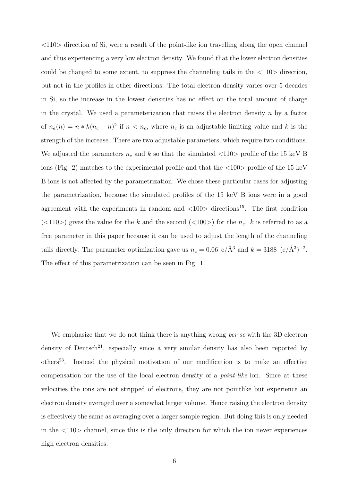$\langle 110 \rangle$  direction of Si, were a result of the point-like ion travelling along the open channel and thus experiencing a very low electron density. We found that the lower electron densities could be changed to some extent, to suppress the channeling tails in the  $\langle 110 \rangle$  direction, but not in the profiles in other directions. The total electron density varies over 5 decades in Si, so the increase in the lowest densities has no effect on the total amount of charge in the crystal. We used a parameterization that raises the electron density  $n$  by a factor of  $n_a(n) = n * k(n_c - n)^2$  if  $n < n_c$ , where  $n_c$  is an adjustable limiting value and k is the strength of the increase. There are two adjustable parameters, which require two conditions. We adjusted the parameters  $n_c$  and k so that the simulated  $\langle 110 \rangle$  profile of the 15 keV B ions (Fig. 2) matches to the experimental profile and that the  $\langle 100 \rangle$  profile of the 15 keV B ions is not affected by the parametrization. We chose these particular cases for adjusting the parametrization, because the simulated profiles of the 15 keV B ions were in a good agreement with the experiments in random and  $\langle 100 \rangle$  directions<sup>15</sup>. The first condition (<110>) gives the value for the k and the second (<100>) for the  $n_c$ . k is referred to as a free parameter in this paper because it can be used to adjust the length of the channeling tails directly. The parameter optimization gave us  $n_c = 0.06 \text{ e/Å}^3$  and  $k = 3188 \text{ (e/Å}^3)^{-2}$ . The effect of this parametrization can be seen in Fig. 1.

We emphasize that we do not think there is anything wrong *per se* with the 3D electron density of Deutsch<sup>21</sup>, especially since a very similar density has also been reported by others<sup>23</sup>. Instead the physical motivation of our modification is to make an effective compensation for the use of the local electron density of a point-like ion. Since at these velocities the ions are not stripped of electrons, they are not pointlike but experience an electron density averaged over a somewhat larger volume. Hence raising the electron density is effectively the same as averaging over a larger sample region. But doing this is only needed in the  $\langle 110 \rangle$  channel, since this is the only direction for which the ion never experiences high electron densities.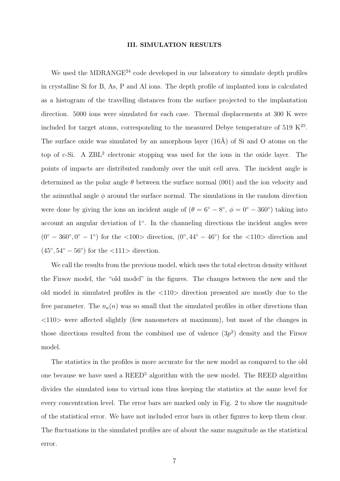#### III. SIMULATION RESULTS

We used the MDRANGE $^{24}$  code developed in our laboratory to simulate depth profiles in crystalline Si for B, As, P and Al ions. The depth profile of implanted ions is calculated as a histogram of the travelling distances from the surface projected to the implantation direction. 5000 ions were simulated for each case. Thermal displacements at 300 K were included for target atoms, corresponding to the measured Debye temperature of 519  $\mathrm{K}^{25}$ . The surface oxide was simulated by an amorphous layer  $(16\text{\AA})$  of Si and O atoms on the top of c-Si. A ZBL<sup>2</sup> electronic stopping was used for the ions in the oxide layer. The points of impacts are distributed randomly over the unit cell area. The incident angle is determined as the polar angle  $\theta$  between the surface normal (001) and the ion velocity and the azimuthal angle  $\phi$  around the surface normal. The simulations in the random direction were done by giving the ions an incident angle of  $(\theta = 6^{\circ} - 8^{\circ}, \phi = 0^{\circ} - 360^{\circ})$  taking into account an angular deviation of  $1^{\circ}$ . In the channeling directions the incident angles were  $(0^{\circ} - 360^{\circ}, 0^{\circ} - 1^{\circ})$  for the  $\langle 100 \rangle$  direction,  $(0^{\circ}, 44^{\circ} - 46^{\circ})$  for the  $\langle 110 \rangle$  direction and  $(45^{\circ}, 54^{\circ} - 56^{\circ})$  for the  $\langle 111 \rangle$  direction.

We call the results from the previous model, which uses the total electron density without the Firsov model, the "old model" in the figures. The changes between the new and the old model in simulated profiles in the <110> direction presented are mostly due to the free parameter. The  $n_a(n)$  was so small that the simulated profiles in other directions than <110> were affected slightly (few nanometers at maximum), but most of the changes in those directions resulted from the combined use of valence  $(3p^2)$  density and the Firsov model.

The statistics in the profiles is more accurate for the new model as compared to the old one because we have used a  $REED<sup>5</sup>$  algorithm with the new model. The REED algorithm divides the simulated ions to virtual ions thus keeping the statistics at the same level for every concentration level. The error bars are marked only in Fig. 2 to show the magnitude of the statistical error. We have not included error bars in other figures to keep them clear. The fluctuations in the simulated profiles are of about the same magnitude as the statistical error.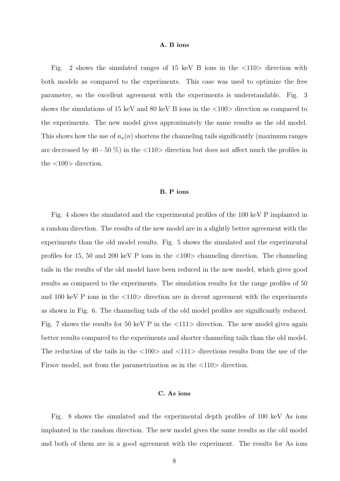#### A. B ions

Fig. 2 shows the simulated ranges of 15 keV B ions in the  $\langle 110 \rangle$  direction with both models as compared to the experiments. This case was used to optimize the free parameter, so the excellent agreement with the experiments is understandable. Fig. 3 shows the simulations of 15 keV and 80 keV B ions in the  $\langle 100 \rangle$  direction as compared to the experiments. The new model gives approximately the same results as the old model. This shows how the use of  $n_a(n)$  shortens the channeling tails significantly (maximum ranges are decreased by 40 - 50 %) in the  $\langle 110 \rangle$  direction but does not affect much the profiles in the <100> direction.

# B. P ions

Fig. 4 shows the simulated and the experimental profiles of the 100 keV P implanted in a random direction. The results of the new model are in a slightly better agreement with the experiments than the old model results. Fig. 5 shows the simulated and the experimental profiles for 15, 50 and 200 keV P ions in the <100> channeling direction. The channeling tails in the results of the old model have been reduced in the new model, which gives good results as compared to the experiments. The simulation results for the range profiles of 50 and 100 keV P ions in the  $\langle 110 \rangle$  direction are in decent agreement with the experiments as shown in Fig. 6. The channeling tails of the old model profiles are significantly reduced. Fig. 7 shows the results for 50 keV P in the  $\langle 111 \rangle$  direction. The new model gives again better results compared to the experiments and shorter channeling tails than the old model. The reduction of the tails in the  $\langle 100 \rangle$  and  $\langle 111 \rangle$  directions results from the use of the Firsov model, not from the parametrization as in the  $\langle 110 \rangle$  direction.

#### C. As ions

Fig. 8 shows the simulated and the experimental depth profiles of 100 keV As ions implanted in the random direction. The new model gives the same results as the old model and both of them are in a good agreement with the experiment. The results for As ions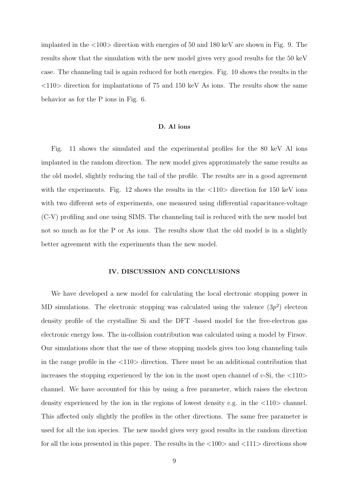implanted in the <100> direction with energies of 50 and 180 keV are shown in Fig. 9. The results show that the simulation with the new model gives very good results for the 50 keV case. The channeling tail is again reduced for both energies. Fig. 10 shows the results in the  $\langle 110 \rangle$  direction for implantations of 75 and 150 keV As ions. The results show the same behavior as for the P ions in Fig. 6.

#### D. Al ions

Fig. 11 shows the simulated and the experimental profiles for the 80 keV Al ions implanted in the random direction. The new model gives approximately the same results as the old model, slightly reducing the tail of the profile. The results are in a good agreement with the experiments. Fig. 12 shows the results in the  $\langle 110 \rangle$  direction for 150 keV ions with two different sets of experiments, one measured using differential capacitance-voltage (C-V) profiling and one using SIMS. The channeling tail is reduced with the new model but not so much as for the P or As ions. The results show that the old model is in a slightly better agreement with the experiments than the new model.

### IV. DISCUSSION AND CONCLUSIONS

We have developed a new model for calculating the local electronic stopping power in MD simulations. The electronic stopping was calculated using the valence  $(3p^2)$  electron density profile of the crystalline Si and the DFT -based model for the free-electron gas electronic energy loss. The in-collision contribution was calculated using a model by Firsov. Our simulations show that the use of these stopping models gives too long channeling tails in the range profile in the <110> direction. There must be an additional contribution that increases the stopping experienced by the ion in the most open channel of  $c-Si$ , the  $\langle 110 \rangle$ channel. We have accounted for this by using a free parameter, which raises the electron density experienced by the ion in the regions of lowest density e.g. in the  $\langle 110 \rangle$  channel. This affected only slightly the profiles in the other directions. The same free parameter is used for all the ion species. The new model gives very good results in the random direction for all the ions presented in this paper. The results in the  $\langle 100 \rangle$  and  $\langle 111 \rangle$  directions show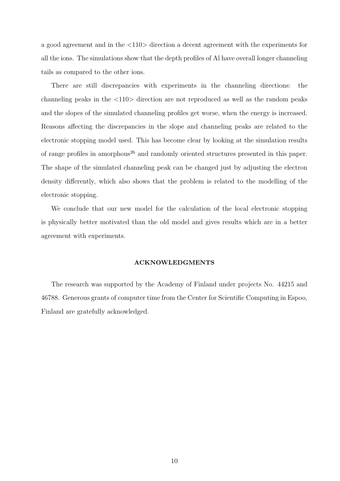a good agreement and in the <110> direction a decent agreement with the experiments for all the ions. The simulations show that the depth profiles of Al have overall longer channeling tails as compared to the other ions.

There are still discrepancies with experiments in the channeling directions: the channeling peaks in the  $\langle 110 \rangle$  direction are not reproduced as well as the random peaks and the slopes of the simulated channeling profiles get worse, when the energy is increased. Reasons affecting the discrepancies in the slope and channeling peaks are related to the electronic stopping model used. This has become clear by looking at the simulation results of range profiles in amorphous<sup>26</sup> and randomly oriented structures presented in this paper. The shape of the simulated channeling peak can be changed just by adjusting the electron density differently, which also shows that the problem is related to the modelling of the electronic stopping.

We conclude that our new model for the calculation of the local electronic stopping is physically better motivated than the old model and gives results which are in a better agreement with experiments.

#### ACKNOWLEDGMENTS

The research was supported by the Academy of Finland under projects No. 44215 and 46788. Generous grants of computer time from the Center for Scientific Computing in Espoo, Finland are gratefully acknowledged.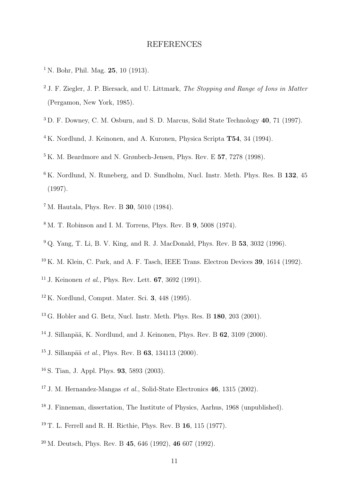# REFERENCES

- <sup>1</sup> N. Bohr, Phil. Mag. **25**, 10 (1913).
- <sup>2</sup> J. F. Ziegler, J. P. Biersack, and U. Littmark, *The Stopping and Range of Ions in Matter* (Pergamon, New York, 1985).
- <sup>3</sup> D. F. Downey, C. M. Osburn, and S. D. Marcus, Solid State Technology 40, 71 (1997).
- <sup>4</sup> K. Nordlund, J. Keinonen, and A. Kuronen, Physica Scripta **T54**, 34 (1994).
- <sup>5</sup> K. M. Beardmore and N. Grønbech-Jensen, Phys. Rev. E 57, 7278 (1998).
- <sup>6</sup> K. Nordlund, N. Runeberg, and D. Sundholm, Nucl. Instr. Meth. Phys. Res. B 132, 45 (1997).
- <sup>7</sup> M. Hautala, Phys. Rev. B 30, 5010 (1984).
- $8 \text{ M}$ . T. Robinson and I. M. Torrens, Phys. Rev. B 9, 5008 (1974).
- <sup>9</sup> Q. Yang, T. Li, B. V. King, and R. J. MacDonald, Phys. Rev. B **53**, 3032 (1996).
- $10$  K. M. Klein, C. Park, and A. F. Tasch, IEEE Trans. Electron Devices **39**, 1614 (1992).
- <sup>11</sup> J. Keinonen *et al.*, Phys. Rev. Lett. **67**, 3692 (1991).
- <sup>12</sup> K. Nordlund, Comput. Mater. Sci. 3, 448 (1995).
- $13$  G. Hobler and G. Betz, Nucl. Instr. Meth. Phys. Res. B 180, 203 (2001).
- <sup>14</sup> J. Sillanpää, K. Nordlund, and J. Keinonen, Phys. Rev. B  $62$ ,  $3109$  (2000).
- $15$  J. Sillanpää et al., Phys. Rev. B 63, 134113 (2000).
- <sup>16</sup> S. Tian, J. Appl. Phys. 93, 5893 (2003).
- <sup>17</sup> J. M. Hernandez-Mangas et al., Solid-State Electronics **46**, 1315 (2002).
- <sup>18</sup> J. Finneman, dissertation, The Institute of Physics, Aarhus, 1968 (unpublished).
- <sup>19</sup> T. L. Ferrell and R. H. Ricthie, Phys. Rev. B  $16$ , 115 (1977).
- $^{20}$  M. Deutsch, Phys. Rev. B 45, 646 (1992), 46 607 (1992).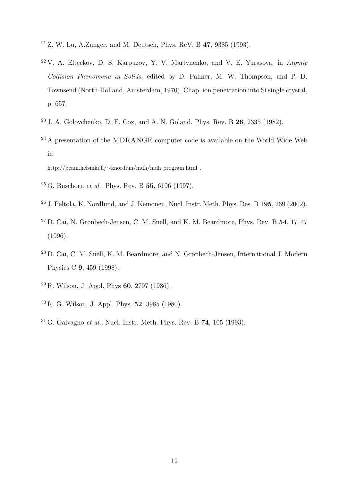- <sup>21</sup> Z. W. Lu, A.Zunger, and M. Deutsch, Phys. ReV. B 47, 9385 (1993).
- $22$  V. A. Elteckov, D. S. Karpuzov, Y. V. Martynenko, and V. E. Yurasova, in Atomic Collision Phenomena in Solids, edited by D. Palmer, M. W. Thompson, and P. D. Townsend (North-Holland, Amsterdam, 1970), Chap. ion penetration into Si single crystal, p. 657.
- <sup>23</sup> J. A. Golovchenko, D. E. Cox, and A. N. Goland, Phys. Rev. B 26, 2335 (1982).
- <sup>24</sup> A presentation of the MDRANGE computer code is available on the World Wide Web in

http://beam.helsinki.fi/∼knordlun/mdh/mdh program.html .

- $^{25}$  G. Buschorn *et al.*, Phys. Rev. B  $55, 6196$  (1997).
- <sup>26</sup> J. Peltola, K. Nordlund, and J. Keinonen, Nucl. Instr. Meth. Phys. Res. B 195, 269 (2002).
- <sup>27</sup> D. Cai, N. Grønbech-Jensen, C. M. Snell, and K. M. Beardmore, Phys. Rev. B 54, 17147 (1996).
- <sup>28</sup> D. Cai, C. M. Snell, K. M. Beardmore, and N. Grønbech-Jensen, International J. Modern Physics C 9, 459 (1998).
- $^{29}$  R. Wilson, J. Appl. Phys 60, 2797 (1986).
- <sup>30</sup> R. G. Wilson, J. Appl. Phys. 52, 3985 (1980).
- $31 G.$  Galvagno *et al.*, Nucl. Instr. Meth. Phys. Rev. B  $74, 105$  (1993).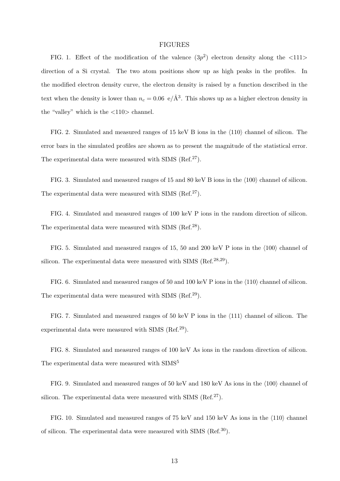## FIGURES

FIG. 1. Effect of the modification of the valence  $(3p^2)$  electron density along the  $\langle 111 \rangle$ direction of a Si crystal. The two atom positions show up as high peaks in the profiles. In the modified electron density curve, the electron density is raised by a function described in the text when the density is lower than  $n_c = 0.06$  e/ $\AA^3$ . This shows up as a higher electron density in the "valley" which is the  $\langle 110 \rangle$  channel.

FIG. 2. Simulated and measured ranges of  $15 \text{ keV B}$  ions in the  $\langle 110 \rangle$  channel of silicon. The error bars in the simulated profiles are shown as to present the magnitude of the statistical error. The experimental data were measured with SIMS (Ref.<sup>27</sup>).

FIG. 3. Simulated and measured ranges of 15 and 80 keV B ions in the  $\langle 100 \rangle$  channel of silicon. The experimental data were measured with SIMS  $(Ref.<sup>27</sup>)$ .

FIG. 4. Simulated and measured ranges of 100 keV P ions in the random direction of silicon. The experimental data were measured with SIMS (Ref.<sup>28</sup>).

FIG. 5. Simulated and measured ranges of 15, 50 and 200 keV P ions in the  $\langle 100 \rangle$  channel of silicon. The experimental data were measured with SIMS  $(Ref.<sup>28,29</sup>)$ .

FIG. 6. Simulated and measured ranges of 50 and 100 keV P ions in the  $\langle 110 \rangle$  channel of silicon. The experimental data were measured with SIMS (Ref.<sup>29</sup>).

FIG. 7. Simulated and measured ranges of 50 keV P ions in the  $\langle 111 \rangle$  channel of silicon. The experimental data were measured with SIMS (Ref.<sup>29</sup>).

FIG. 8. Simulated and measured ranges of 100 keV As ions in the random direction of silicon. The experimental data were measured with SIMS<sup>5</sup>

FIG. 9. Simulated and measured ranges of 50 keV and 180 keV As ions in the  $\langle 100 \rangle$  channel of silicon. The experimental data were measured with SIMS (Ref.<sup>27</sup>).

FIG. 10. Simulated and measured ranges of 75 keV and 150 keV As ions in the  $\langle 110 \rangle$  channel of silicon. The experimental data were measured with SIMS (Ref.30).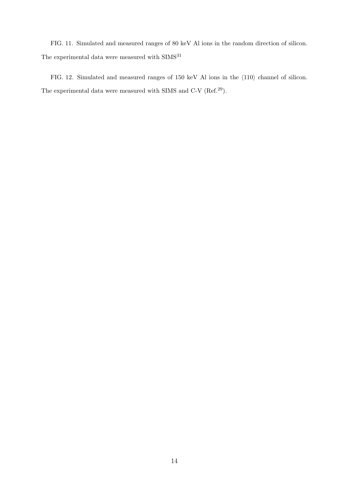FIG. 11. Simulated and measured ranges of 80 keV Al ions in the random direction of silicon. The experimental data were measured with  $\rm SIMS^{31}$ 

FIG. 12. Simulated and measured ranges of 150 keV Al ions in the  $\langle 110 \rangle$  channel of silicon. The experimental data were measured with SIMS and C-V (Ref.<sup>29</sup>).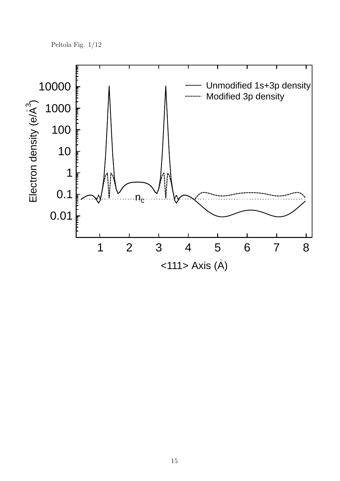Peltola Fig. 1/12

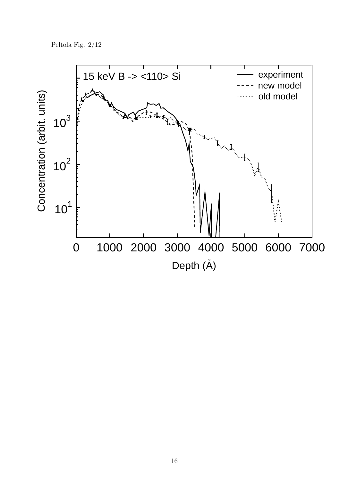Peltola Fig. 2/12

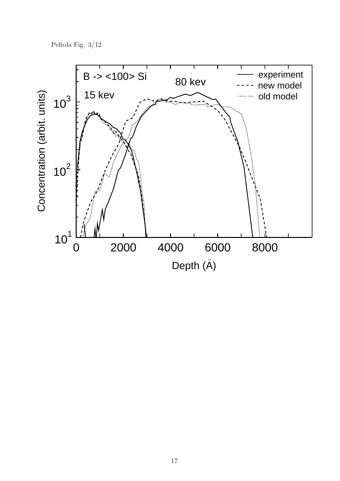Peltola Fig. 3/12

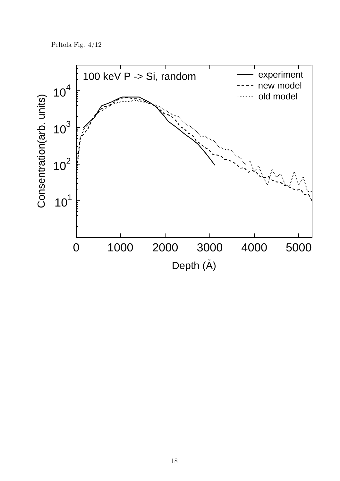Peltola Fig. 4/12

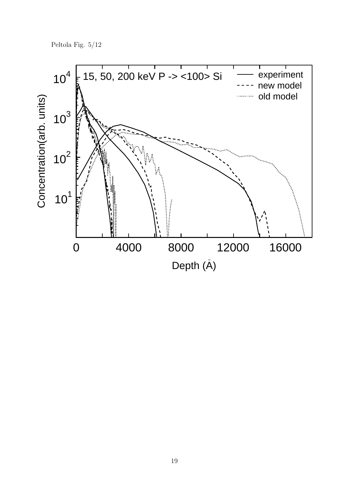Peltola Fig. 5/12

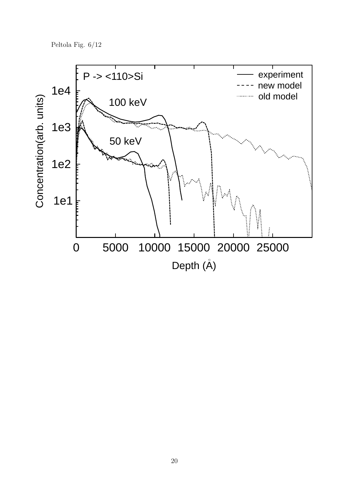Peltola Fig. 6/12

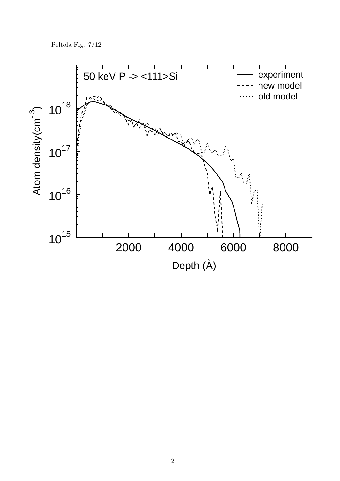Peltola Fig. 7/12

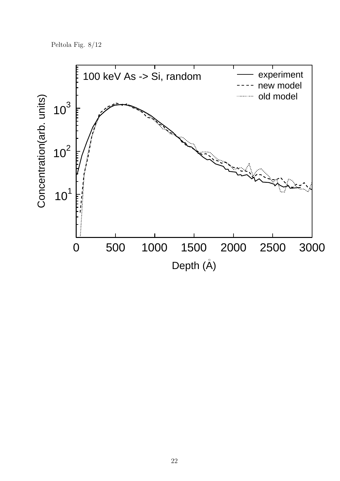Peltola Fig. 8/12

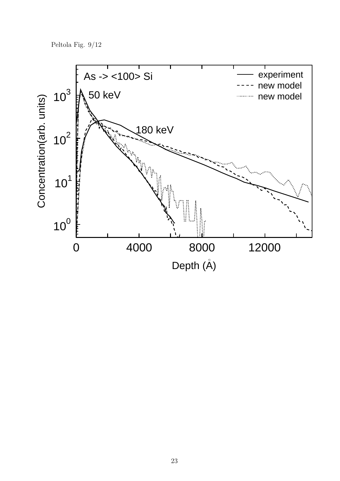Peltola Fig. 9/12

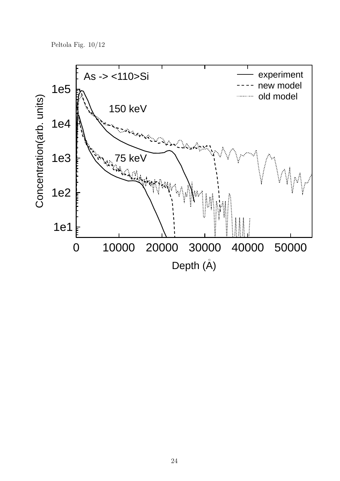Peltola Fig. 10/12

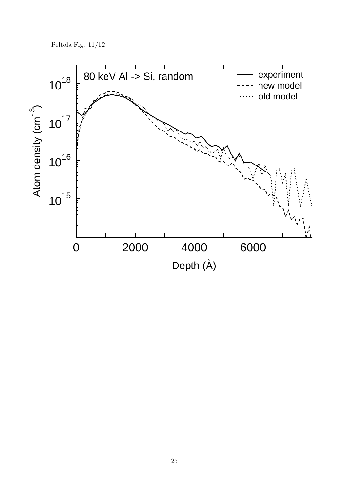Peltola Fig.  $11/12$